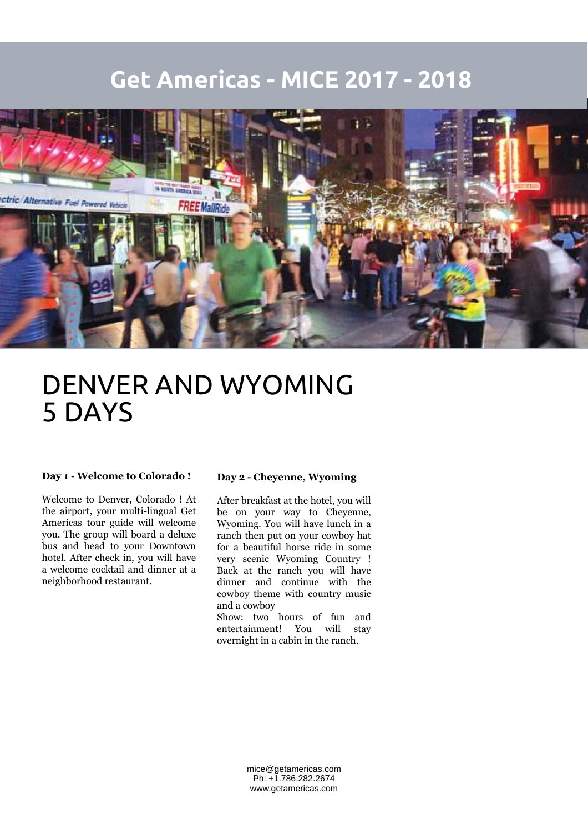### **Get Americas - MICE 2017 - 2018**



## DENVER AND WYOMING 5 DAYS

#### **Day 1 - Welcome to Colorado !**

Welcome to Denver, Colorado ! At the airport, your multi-lingual Get Americas tour guide will welcome you. The group will board a deluxe bus and head to your Downtown hotel. After check in, you will have a welcome cocktail and dinner at a neighborhood restaurant.

#### **Day 2 - Cheyenne, Wyoming**

After breakfast at the hotel, you will be on your way to Cheyenne, Wyoming. You will have lunch in a ranch then put on your cowboy hat for a beautiful horse ride in some very scenic Wyoming Country ! Back at the ranch you will have dinner and continue with the cowboy theme with country music and a cowboy

Show: two hours of fun and entertainment! You will stay overnight in a cabin in the ranch.

> mice@getamericas.com Ph: +1.786.282.2674 www.getamericas.com